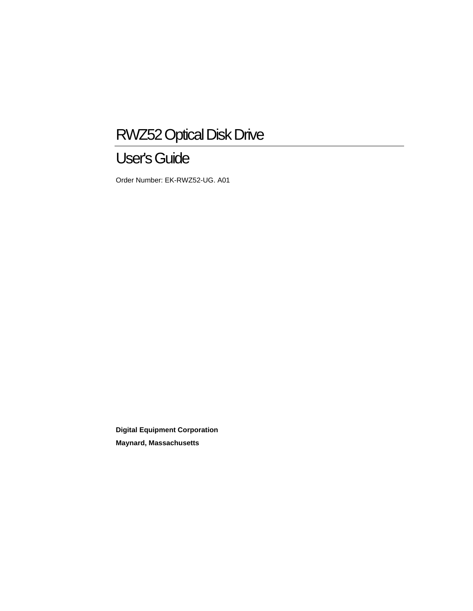# RWZ52 Optical Disk Drive

# User's Guide

Order Number: EK-RWZ52-UG. A01

**Digital Equipment Corporation Maynard, Massachusetts**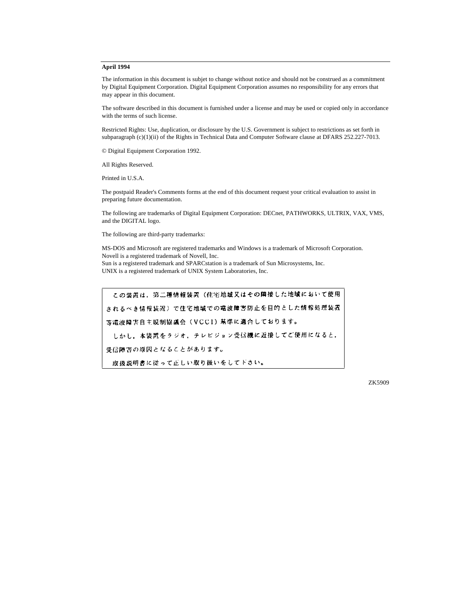#### **April 1994**

The information in this document is subjet to change without notice and should not be construed as a commitment by Digital Equipment Corporation. Digital Equipment Corporation assumes no responsibility for any errors that may appear in this document.

The software described in this document is furnished under a license and may be used or copied only in accordance with the terms of such license.

Restricted Rights: Use, duplication, or disclosure by the U.S. Government is subject to restrictions as set forth in subparagraph (c)(1)(ii) of the Rights in Technical Data and Computer Software clause at DFARS 252.227-7013.

© Digital Equipment Corporation 1992.

All Rights Reserved.

Printed in U.S.A.

The postpaid Reader's Comments forms at the end of this document request your critical evaluation to assist in preparing future documentation.

The following are trademarks of Digital Equipment Corporation: DECnet, PATHWORKS, ULTRIX, VAX, VMS, and the DIGITAL logo.

The following are third-party trademarks:

MS-DOS and Microsoft are registered trademarks and Windows is a trademark of Microsoft Corporation. Novell is a registered trademark of Novell, Inc. Sun is a registered trademark and SPARCstation is a trademark of Sun Microsystems, Inc. UNIX is a registered trademark of UNIX System Laboratories, Inc.

この装置は、第二種情報装置(住宅地域又はその隣接した地域において使用 されるべき情報装置)で住宅地域での電波障害防止を目的とした情報処理装置 等電波障害自主規制協議会(VCCI)基準に適合しております。

しかし、本装置をラジオ、テレビジョン受信機に近接してご使用になると、

受信障害の原因となることがあります。

取扱説明書に従って正しい取り扱いをしてドさい。

ZK5909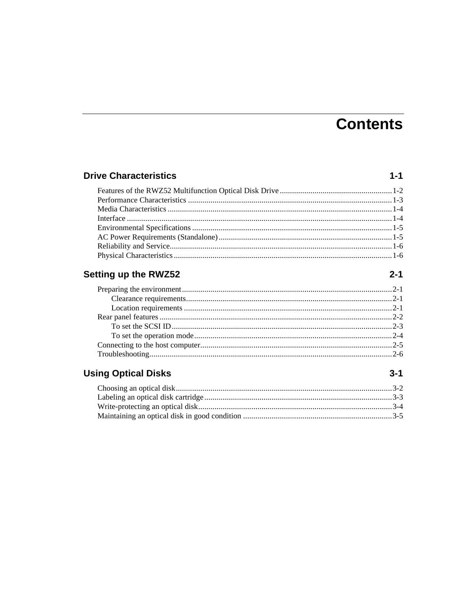# **Contents**

 $1 - 1$ 

 $2 - 1$ 

 $3 - 1$ 

#### **Drive Characteristics**

#### **Setting up the RWZ52**

#### **Using Optical Disks**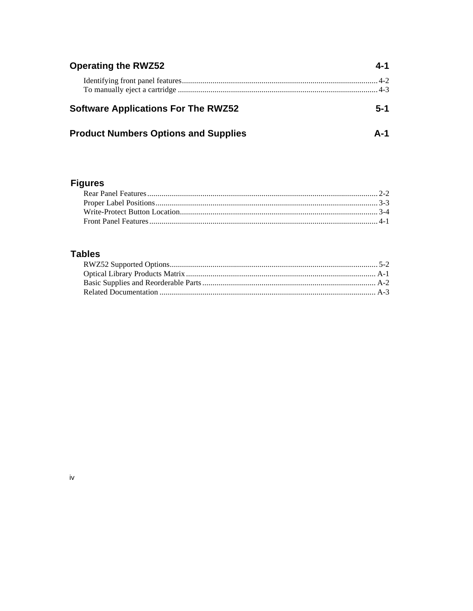| <b>Operating the RWZ52</b>                  | 4-1 |
|---------------------------------------------|-----|
|                                             |     |
| <b>Software Applications For The RWZ52</b>  | 5-1 |
| <b>Product Numbers Options and Supplies</b> | Δ-1 |

### **Figures**

### **Tables**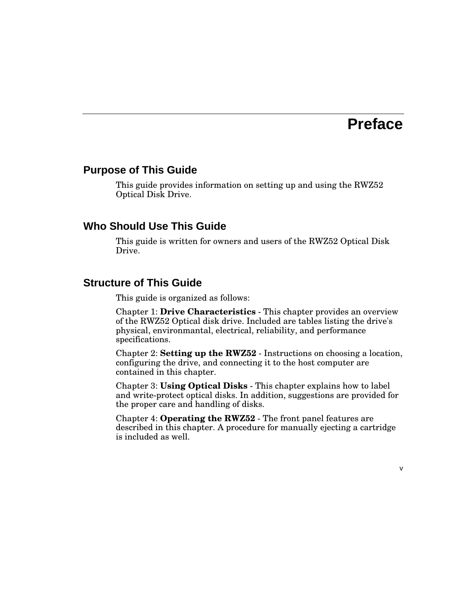## **Preface**

#### **Purpose of This Guide**

This guide provides information on setting up and using the RWZ52 Optical Disk Drive.

#### **Who Should Use This Guide**

This guide is written for owners and users of the RWZ52 Optical Disk Drive.

#### **Structure of This Guide**

This guide is organized as follows:

Chapter 1: **Drive Characteristics** - This chapter provides an overview of the RWZ52 Optical disk drive. Included are tables listing the drive's physical, environmantal, electrical, reliability, and performance specifications.

Chapter 2: **Setting up the RWZ52** - Instructions on choosing a location, configuring the drive, and connecting it to the host computer are contained in this chapter.

Chapter 3: **Using Optical Disks** - This chapter explains how to label and write-protect optical disks. In addition, suggestions are provided for the proper care and handling of disks.

Chapter 4: **Operating the RWZ52** - The front panel features are described in this chapter. A procedure for manually ejecting a cartridge is included as well.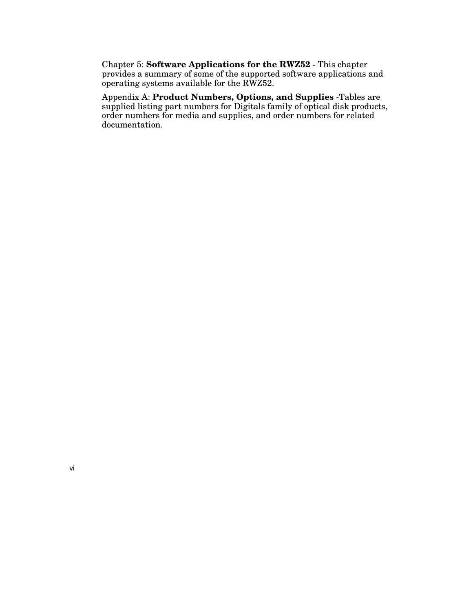Chapter 5: **Software Applications for the RWZ52** - This chapter provides a summary of some of the supported software applications and operating systems available for the RWZ52.

Appendix A: **Product Numbers, Options, and Supplies** -Tables are supplied listing part numbers for Digitals family of optical disk products, order numbers for media and supplies, and order numbers for related documentation.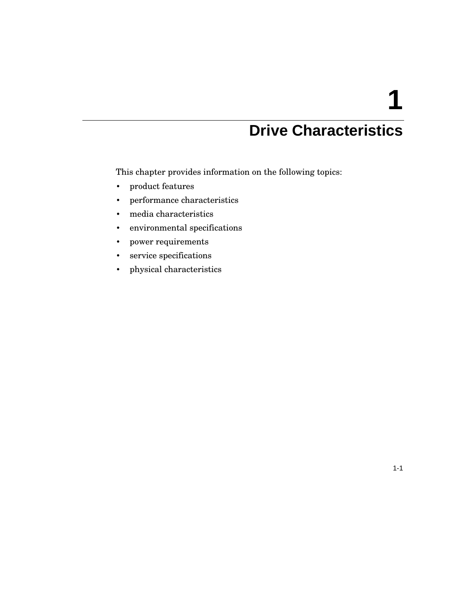# **1**

# **Drive Characteristics**

This chapter provides information on the following topics:

- product features
- performance characteristics
- media characteristics
- environmental specifications
- power requirements
- service specifications
- physical characteristics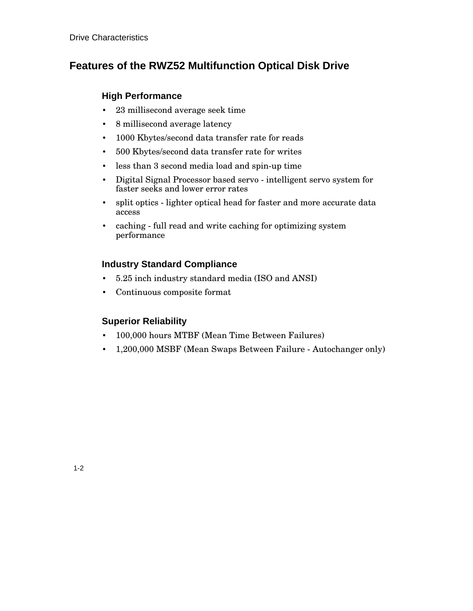### **Features of the RWZ52 Multifunction Optical Disk Drive**

#### **High Performance**

- 23 millisecond average seek time
- 8 millisecond average latency
- 1000 Kbytes/second data transfer rate for reads
- 500 Kbytes/second data transfer rate for writes
- less than 3 second media load and spin-up time
- Digital Signal Processor based servo intelligent servo system for faster seeks and lower error rates
- split optics lighter optical head for faster and more accurate data access
- caching full read and write caching for optimizing system performance

#### **Industry Standard Compliance**

- 5.25 inch industry standard media (ISO and ANSI)
- Continuous composite format

#### **Superior Reliability**

- 100,000 hours MTBF (Mean Time Between Failures)
- 1,200,000 MSBF (Mean Swaps Between Failure Autochanger only)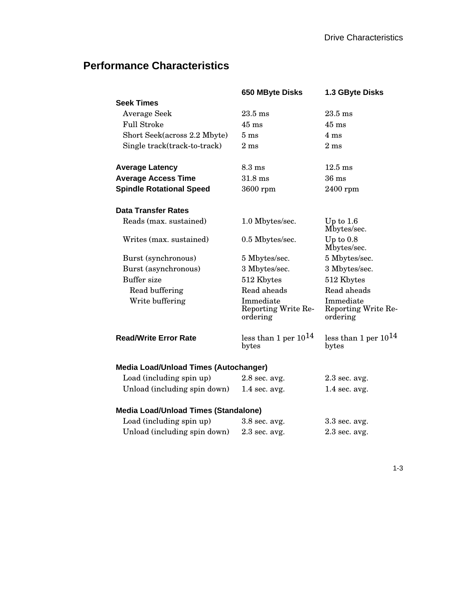### **Performance Characteristics**

| 650 MByte Disks                                 | 1.3 GByte Disks                              |
|-------------------------------------------------|----------------------------------------------|
|                                                 |                                              |
| $23.5$ ms                                       | $23.5$ ms                                    |
| $45 \text{ ms}$                                 | $45 \:\rm ms$                                |
| $5 \text{ ms}$                                  | $4 \text{ ms}$                               |
| 2 <sub>ms</sub>                                 | 2 <sub>ms</sub>                              |
| $8.3 \text{ ms}$                                | $12.5 \text{ ms}$                            |
| $31.8 \text{ ms}$                               | $36 \text{ ms}$                              |
| 3600 rpm                                        | $2400$ rpm                                   |
|                                                 |                                              |
| 1.0 Mbytes/sec.                                 | Up to $1.6$<br>Mbytes/sec.                   |
| 0.5 Mbytes/sec.                                 | Up to $0.8$<br>Mbytes/sec.                   |
| 5 Mbytes/sec.                                   | 5 Mbytes/sec.                                |
| 3 Mbytes/sec.                                   | 3 Mbytes/sec.                                |
| 512 Kbytes                                      | 512 Kbytes                                   |
| Read aheads                                     | Read aheads                                  |
| Immediate<br>Reporting Write Re-<br>ordering    | Immediate<br>Reporting Write Re-<br>ordering |
| less than 1 per $10^{14}$<br>bytes              | less than 1 per $10^{14}$<br>bytes           |
| <b>Media Load/Unload Times (Autochanger)</b>    |                                              |
| $2.8$ sec. avg.                                 | $2.3$ sec. avg.                              |
| Unload (including spin down)<br>$1.4$ sec. avg. | $1.4$ sec. avg.                              |
| <b>Media Load/Unload Times (Standalone)</b>     |                                              |
| 3.8 sec. avg.                                   | 3.3 sec. avg.                                |
| $2.3$ sec. avg.                                 | $2.3$ sec. avg.                              |
|                                                 |                                              |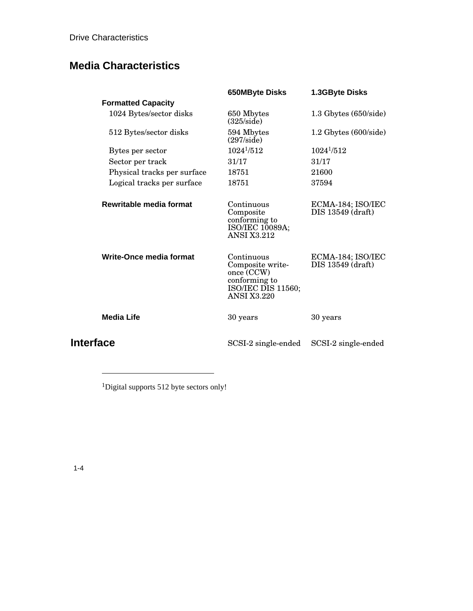Drive Characteristics

### **Media Characteristics**

|                             | <b>650MByte Disks</b>                                                                                     | 1.3GByte Disks                         |
|-----------------------------|-----------------------------------------------------------------------------------------------------------|----------------------------------------|
| <b>Formatted Capacity</b>   |                                                                                                           |                                        |
| 1024 Bytes/sector disks     | 650 Mbytes<br>$(325/\text{side})$                                                                         | $1.3$ Gbytes $(650/\mathrm{side})$     |
| 512 Bytes/sector disks      | 594 Mbytes<br>$(297/\mathrm{side})$                                                                       | $1.2$ Gbytes $(600/\text{side})$       |
| Bytes per sector            | $1024^{1}/512$                                                                                            | $1024^{1/5}12$                         |
| Sector per track            | 31/17                                                                                                     | 31/17                                  |
| Physical tracks per surface | 18751                                                                                                     | 21600                                  |
| Logical tracks per surface  | 18751                                                                                                     | 37594                                  |
| Rewritable media format     | Continuous<br>Composite<br>conforming to<br>ISO/IEC 10089A;<br><b>ANSI X3.212</b>                         | ECMA-184; ISO/IEC<br>DIS 13549 (draft) |
| Write-Once media format     | Continuous<br>Composite write-<br>once (CCW)<br>conforming to<br>ISO/IEC DIS 11560;<br><b>ANSI X3.220</b> | ECMA-184; ISO/IEC<br>DIS 13549 (draft) |
| <b>Media Life</b>           | 30 years                                                                                                  | 30 years                               |
| Interface                   | SCSI-2 single-ended                                                                                       | SCSI-2 single-ended                    |

<sup>1</sup>Digital supports 512 byte sectors only!

-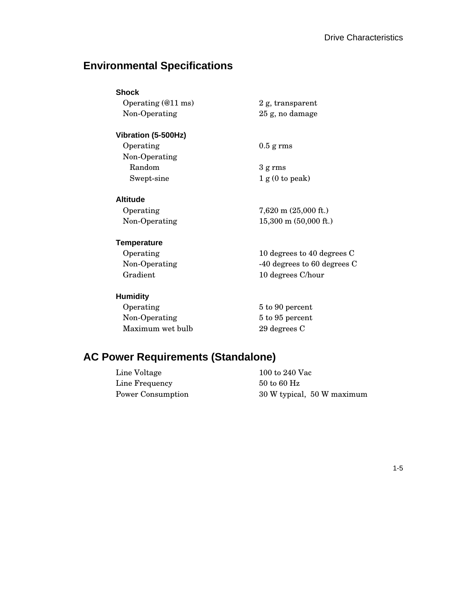### **Environmental Specifications**

| Shock                        |                                 |
|------------------------------|---------------------------------|
| Operating $(@11 \text{ ms})$ | 2 g, transparent                |
| Non-Operating                | 25 g, no damage                 |
| Vibration (5-500Hz)          |                                 |
| Operating                    | $0.5$ g rms                     |
| Non-Operating                |                                 |
| Random                       | $3 \text{ g} \text{ rms}$       |
| Swept-sine                   | 1 g(0 to peak)                  |
| Altitude                     |                                 |
| Operating                    | $7,620 \text{ m}$ (25,000 ft.)  |
| Non-Operating                | $15,300 \text{ m}$ (50,000 ft.) |
| Temperature                  |                                 |
| Operating                    | 10 degrees to 40 degrees C      |
| Non-Operating                | -40 degrees to 60 degrees C     |
| Gradient                     | 10 degrees C/hour               |
| Humidity                     |                                 |
| Operating                    | 5 to 90 percent                 |

Non-Operating 5 to 95 percent<br>Maximum wet bulb 29 degrees C

# **AC Power Requirements (Standalone)**

Maximum wet bulb

| 100 to 240 Vac                 |
|--------------------------------|
| $50 \text{ to } 60 \text{ Hz}$ |
| 30 W typical, 50 W maximum     |
|                                |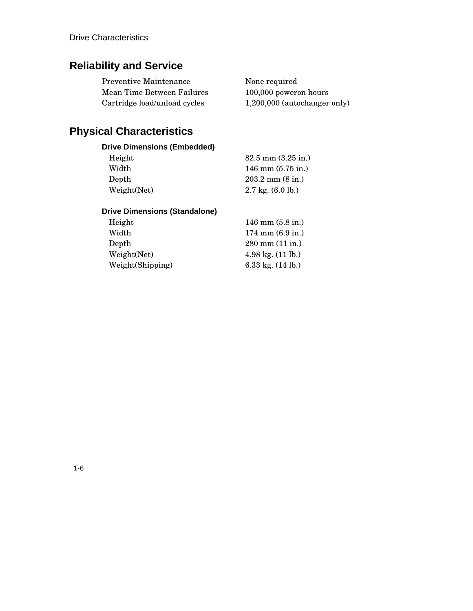### **Reliability and Service**

| <b>Preventive Maintenance</b> | None required                  |
|-------------------------------|--------------------------------|
| Mean Time Between Failures    | 100,000 poweron hours          |
| Cartridge load/unload cycles  | $1,200,000$ (autochanger only) |

### **Physical Characteristics**

#### **Drive Dimensions (Embedded)**

| Height      | $82.5$ mm $(3.25$ in.)       |
|-------------|------------------------------|
| Width       | $146$ mm $(5.75$ in.)        |
| Depth       | $203.2 \text{ mm}$ (8 in.)   |
| Weight(Net) | $2.7 \text{ kg}$ . (6.0 lb.) |

#### **Drive Dimensions (Standalone)**

| Height           | $146$ mm $(5.8$ in.)                   |
|------------------|----------------------------------------|
| Width            | $174 \text{ mm}$ (6.9 in.)             |
| Depth            | $280 \text{ mm} (11 \text{ in.})$      |
| Weight(Net)      | $4.98 \text{ kg}$ . $(11 \text{ lb.})$ |
| Weight(Shipping) | 6.33 kg. $(14 \text{ lb.})$            |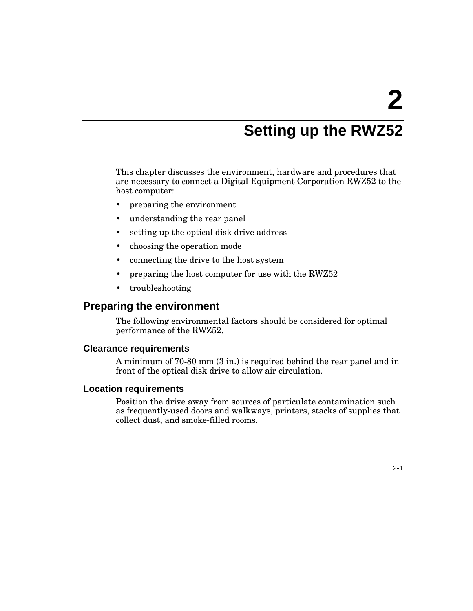# **Setting up the RWZ52**

This chapter discusses the environment, hardware and procedures that are necessary to connect a Digital Equipment Corporation RWZ52 to the host computer:

- preparing the environment
- understanding the rear panel
- setting up the optical disk drive address
- choosing the operation mode
- connecting the drive to the host system
- preparing the host computer for use with the RWZ52
- troubleshooting

#### **Preparing the environment**

The following environmental factors should be considered for optimal performance of the RWZ52.

#### **Clearance requirements**

A minimum of 70-80 mm (3 in.) is required behind the rear panel and in front of the optical disk drive to allow air circulation.

#### **Location requirements**

Position the drive away from sources of particulate contamination such as frequently-used doors and walkways, printers, stacks of supplies that collect dust, and smoke-filled rooms.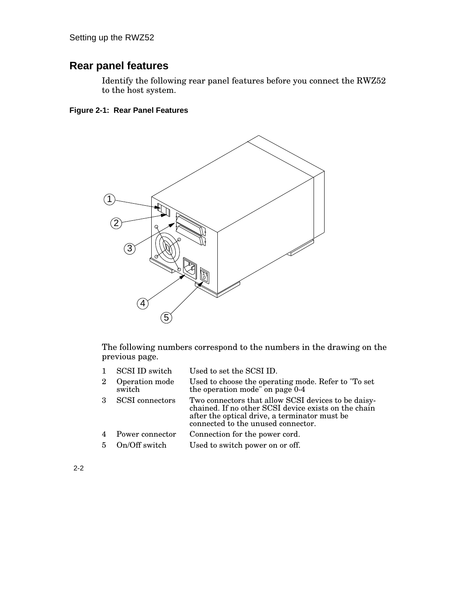### **Rear panel features**

Identify the following rear panel features before you connect the RWZ52 to the host system.

#### **Figure 2-1: Rear Panel Features**



The following numbers correspond to the numbers in the drawing on the previous page.

| $\mathbf{1}$   | SCSI ID switch           | Used to set the SCSI ID.                                                                                                                                                                           |
|----------------|--------------------------|----------------------------------------------------------------------------------------------------------------------------------------------------------------------------------------------------|
| $\overline{2}$ | Operation mode<br>switch | Used to choose the operating mode. Refer to "To set"<br>the operation mode" on page 0-4                                                                                                            |
| $\mathcal{S}$  | <b>SCSI</b> connectors   | Two connectors that allow SCSI devices to be daisy-<br>chained. If no other SCSI device exists on the chain<br>after the optical drive, a terminator must be<br>connected to the unused connector. |
| $\overline{4}$ | Power connector          | Connection for the power cord.                                                                                                                                                                     |
| $\overline{5}$ | On/Off switch            | Used to switch power on or off.                                                                                                                                                                    |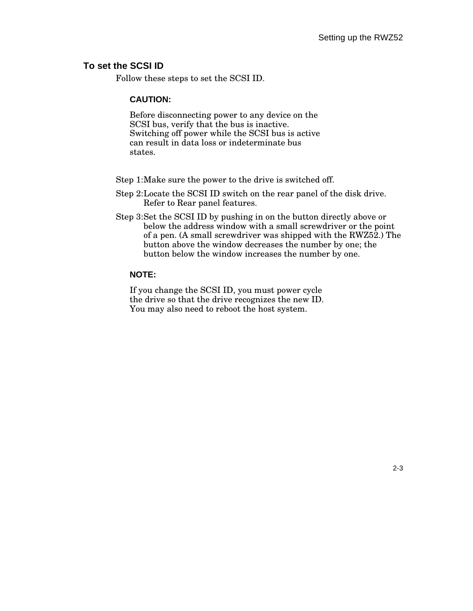#### **To set the SCSI ID**

Follow these steps to set the SCSI ID.

#### **CAUTION:**

Before disconnecting power to any device on the SCSI bus, verify that the bus is inactive. Switching off power while the SCSI bus is active can result in data loss or indeterminate bus states.

Step 1:Make sure the power to the drive is switched off.

Step 2:Locate the SCSI ID switch on the rear panel of the disk drive. Refer to Rear panel features.

Step 3:Set the SCSI ID by pushing in on the button directly above or below the address window with a small screwdriver or the point of a pen. (A small screwdriver was shipped with the RWZ52.) The button above the window decreases the number by one; the button below the window increases the number by one.

#### **NOTE:**

If you change the SCSI ID, you must power cycle the drive so that the drive recognizes the new ID. You may also need to reboot the host system.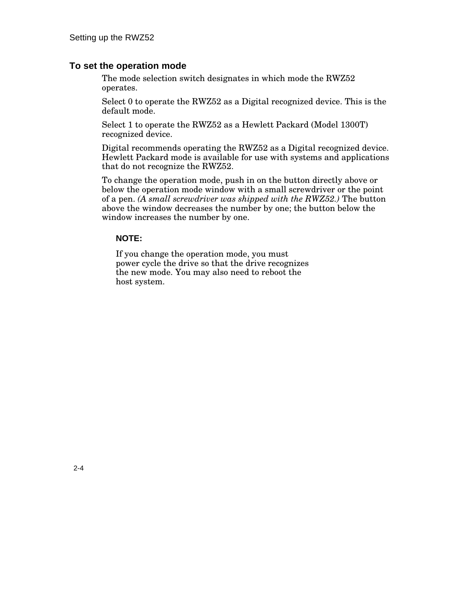#### **To set the operation mode**

The mode selection switch designates in which mode the RWZ52 operates.

Select 0 to operate the RWZ52 as a Digital recognized device. This is the default mode.

Select 1 to operate the RWZ52 as a Hewlett Packard (Model 1300T) recognized device.

Digital recommends operating the RWZ52 as a Digital recognized device. Hewlett Packard mode is available for use with systems and applications that do not recognize the RWZ52.

To change the operation mode, push in on the button directly above or below the operation mode window with a small screwdriver or the point of a pen. *(A small screwdriver was shipped with the RWZ52.)* The button above the window decreases the number by one; the button below the window increases the number by one.

#### **NOTE:**

If you change the operation mode, you must power cycle the drive so that the drive recognizes the new mode. You may also need to reboot the host system.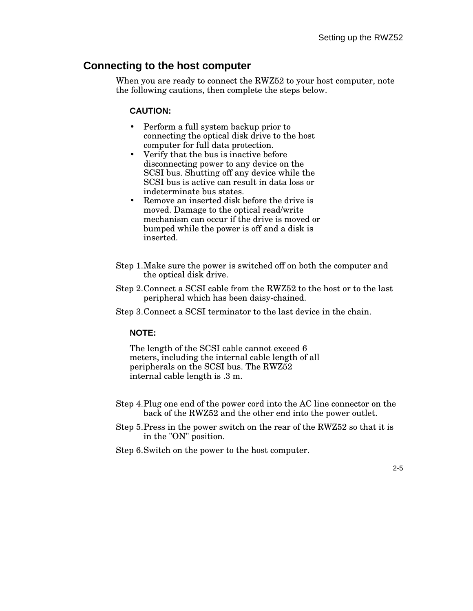#### **Connecting to the host computer**

When you are ready to connect the RWZ52 to your host computer, note the following cautions, then complete the steps below.

#### **CAUTION:**

- Perform a full system backup prior to connecting the optical disk drive to the host computer for full data protection.
- Verify that the bus is inactive before disconnecting power to any device on the SCSI bus. Shutting off any device while the SCSI bus is active can result in data loss or indeterminate bus states.
- Remove an inserted disk before the drive is moved. Damage to the optical read/write mechanism can occur if the drive is moved or bumped while the power is off and a disk is inserted.
- Step 1.Make sure the power is switched off on both the computer and the optical disk drive.
- Step 2.Connect a SCSI cable from the RWZ52 to the host or to the last peripheral which has been daisy-chained.
- Step 3.Connect a SCSI terminator to the last device in the chain.

#### **NOTE:**

The length of the SCSI cable cannot exceed 6 meters, including the internal cable length of all peripherals on the SCSI bus. The RWZ52 internal cable length is .3 m.

- Step 4.Plug one end of the power cord into the AC line connector on the back of the RWZ52 and the other end into the power outlet.
- Step 5.Press in the power switch on the rear of the RWZ52 so that it is in the "ON" position.
- Step 6.Switch on the power to the host computer.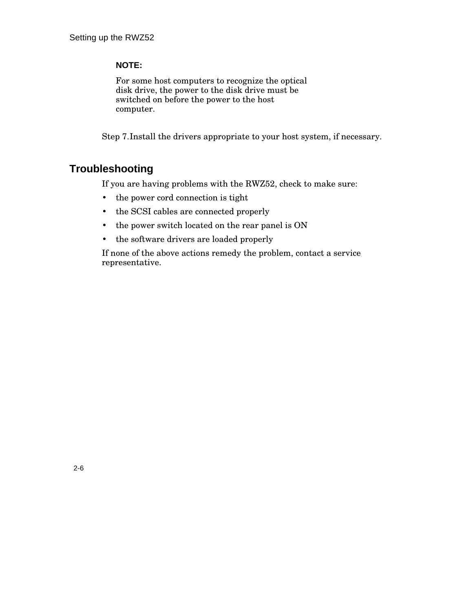#### **NOTE:**

For some host computers to recognize the optical disk drive, the power to the disk drive must be switched on before the power to the host computer.

Step 7.Install the drivers appropriate to your host system, if necessary.

### **Troubleshooting**

If you are having problems with the RWZ52, check to make sure:

- the power cord connection is tight
- the SCSI cables are connected properly
- the power switch located on the rear panel is ON
- the software drivers are loaded properly

If none of the above actions remedy the problem, contact a service representative.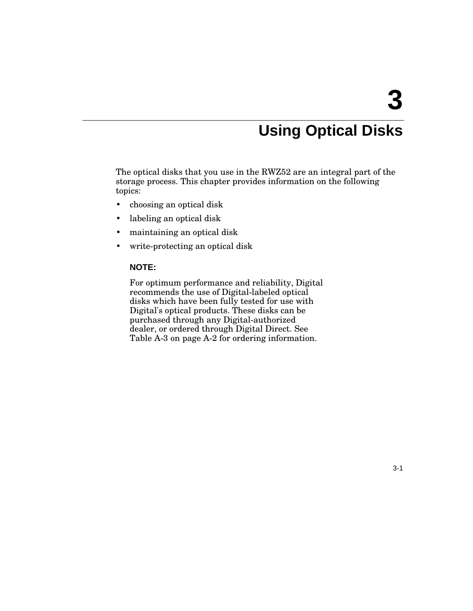# **Using Optical Disks**

The optical disks that you use in the RWZ52 are an integral part of the storage process. This chapter provides information on the following topics:

- choosing an optical disk
- labeling an optical disk
- maintaining an optical disk
- write-protecting an optical disk

#### **NOTE:**

For optimum performance and reliability, Digital recommends the use of Digital-labeled optical disks which have been fully tested for use with Digital's optical products. These disks can be purchased through any Digital-authorized dealer, or ordered through Digital Direct. See Table A-3 on page A-2 for ordering information.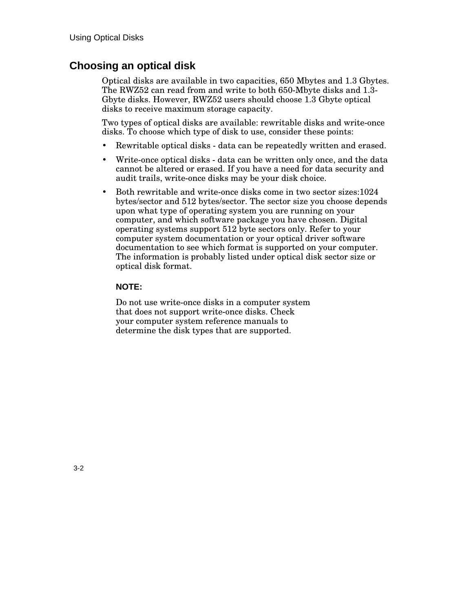### **Choosing an optical disk**

Optical disks are available in two capacities, 650 Mbytes and 1.3 Gbytes. The RWZ52 can read from and write to both 650-Mbyte disks and 1.3- Gbyte disks. However, RWZ52 users should choose 1.3 Gbyte optical disks to receive maximum storage capacity.

Two types of optical disks are available: rewritable disks and write-once disks. To choose which type of disk to use, consider these points:

- Rewritable optical disks data can be repeatedly written and erased.
- Write-once optical disks data can be written only once, and the data cannot be altered or erased. If you have a need for data security and audit trails, write-once disks may be your disk choice.
- Both rewritable and write-once disks come in two sector sizes:1024 bytes/sector and 512 bytes/sector. The sector size you choose depends upon what type of operating system you are running on your computer, and which software package you have chosen. Digital operating systems support 512 byte sectors only. Refer to your computer system documentation or your optical driver software documentation to see which format is supported on your computer. The information is probably listed under optical disk sector size or optical disk format.

#### **NOTE:**

Do not use write-once disks in a computer system that does not support write-once disks. Check your computer system reference manuals to determine the disk types that are supported.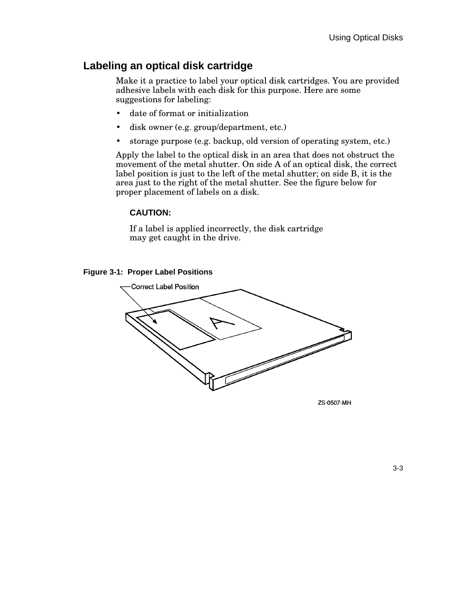### **Labeling an optical disk cartridge**

Make it a practice to label your optical disk cartridges. You are provided adhesive labels with each disk for this purpose. Here are some suggestions for labeling:

- date of format or initialization
- disk owner (e.g. group/department, etc.)
- storage purpose (e.g. backup, old version of operating system, etc.)

Apply the label to the optical disk in an area that does not obstruct the movement of the metal shutter. On side A of an optical disk, the correct label position is just to the left of the metal shutter; on side B, it is the area just to the right of the metal shutter. See the figure below for proper placement of labels on a disk.

#### **CAUTION:**

If a label is applied incorrectly, the disk cartridge may get caught in the drive.





ZS-0507-MH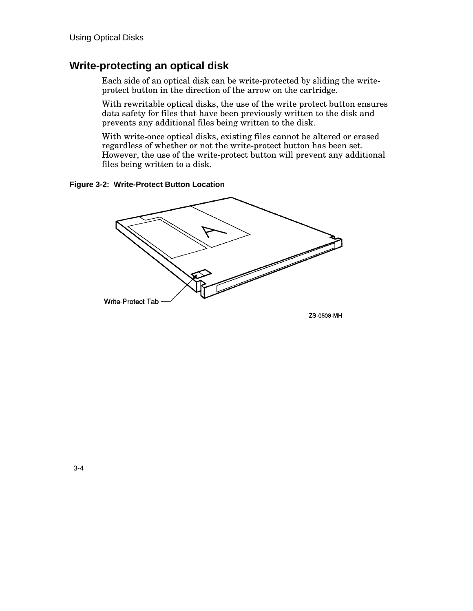### **Write-protecting an optical disk**

Each side of an optical disk can be write-protected by sliding the writeprotect button in the direction of the arrow on the cartridge.

With rewritable optical disks, the use of the write protect button ensures data safety for files that have been previously written to the disk and prevents any additional files being written to the disk.

With write-once optical disks, existing files cannot be altered or erased regardless of whether or not the write-protect button has been set. However, the use of the write-protect button will prevent any additional files being written to a disk.

**Figure 3-2: Write-Protect Button Location**

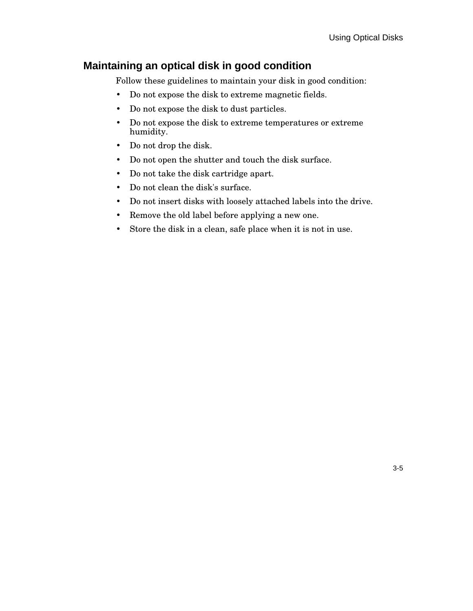### **Maintaining an optical disk in good condition**

Follow these guidelines to maintain your disk in good condition:

- Do not expose the disk to extreme magnetic fields.
- Do not expose the disk to dust particles.
- Do not expose the disk to extreme temperatures or extreme humidity.
- Do not drop the disk.
- Do not open the shutter and touch the disk surface.
- Do not take the disk cartridge apart.
- Do not clean the disk's surface.
- Do not insert disks with loosely attached labels into the drive.
- Remove the old label before applying a new one.
- Store the disk in a clean, safe place when it is not in use.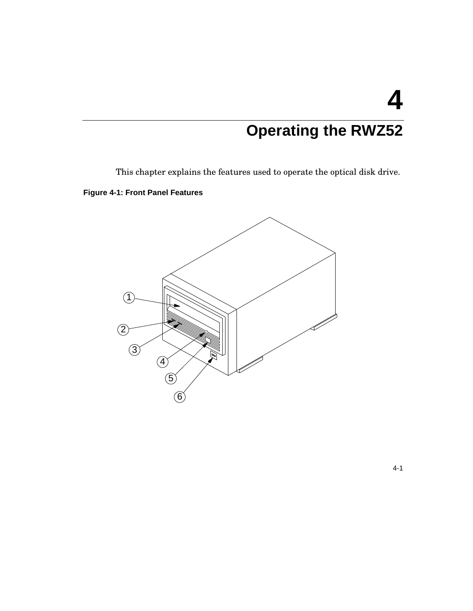# **Operating the RWZ52**

This chapter explains the features used to operate the optical disk drive.

**Figure 4-1: Front Panel Features**



4-1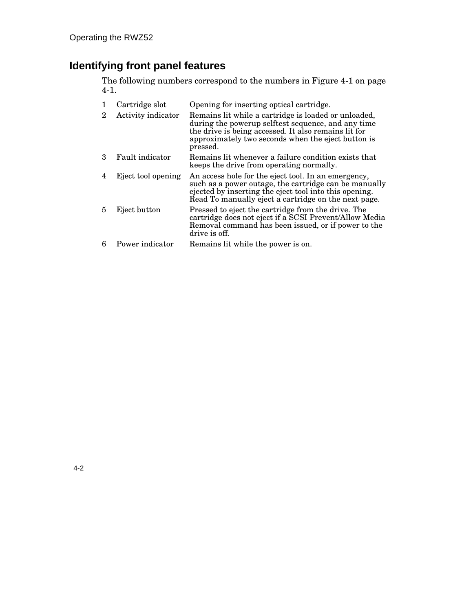### **Identifying front panel features**

The following numbers correspond to the numbers in Figure 4-1 on page 4-1.

|   | Cartridge slot     | Opening for inserting optical cartridge.                                                                                                                                                                                             |
|---|--------------------|--------------------------------------------------------------------------------------------------------------------------------------------------------------------------------------------------------------------------------------|
| 2 | Activity indicator | Remains lit while a cartridge is loaded or unloaded,<br>during the powerup selftest sequence, and any time<br>the drive is being accessed. It also remains lit for<br>approximately two seconds when the eject button is<br>pressed. |
| з | Fault indicator    | Remains lit whenever a failure condition exists that<br>keeps the drive from operating normally.                                                                                                                                     |
| 4 | Eject tool opening | An access hole for the eject tool. In an emergency,<br>such as a power outage, the cartridge can be manually<br>ejected by inserting the eject tool into this opening.<br>Read To manually eject a cartridge on the next page.       |
|   | Eject button       | Pressed to eject the cartridge from the drive. The<br>cartridge does not eject if a SCSI Prevent/Allow Media<br>Removal command has been issued, or if power to the<br>drive is off.                                                 |
| 6 | Power indicator    | Remains lit while the power is on.                                                                                                                                                                                                   |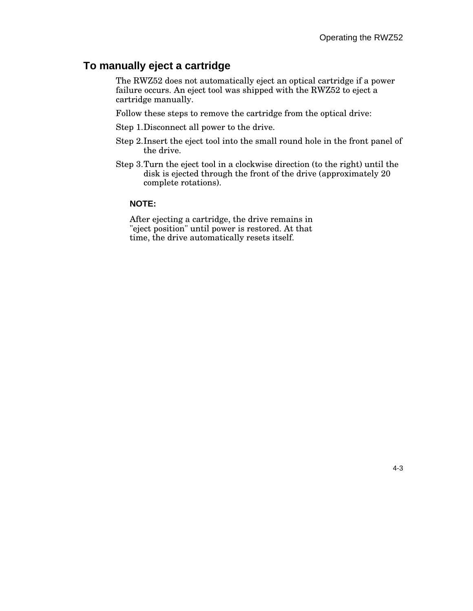#### **To manually eject a cartridge**

The RWZ52 does not automatically eject an optical cartridge if a power failure occurs. An eject tool was shipped with the RWZ52 to eject a cartridge manually.

Follow these steps to remove the cartridge from the optical drive:

- Step 1.Disconnect all power to the drive.
- Step 2.Insert the eject tool into the small round hole in the front panel of the drive.
- Step 3.Turn the eject tool in a clockwise direction (to the right) until the disk is ejected through the front of the drive (approximately 20 complete rotations).

#### **NOTE:**

After ejecting a cartridge, the drive remains in "eject position" until power is restored. At that time, the drive automatically resets itself.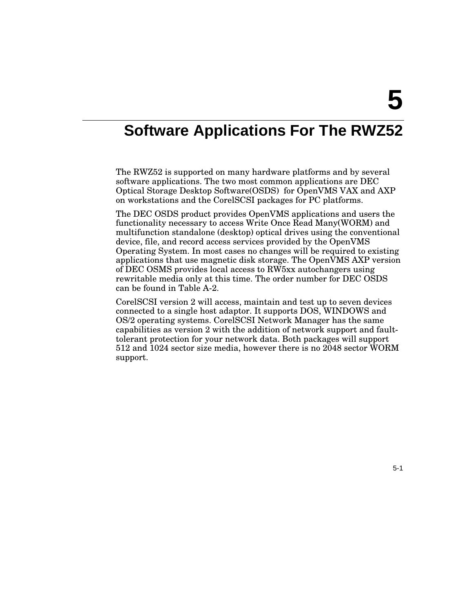# **Software Applications For The RWZ52**

The RWZ52 is supported on many hardware platforms and by several software applications. The two most common applications are DEC Optical Storage Desktop Software(OSDS) for OpenVMS VAX and AXP on workstations and the CorelSCSI packages for PC platforms.

The DEC OSDS product provides OpenVMS applications and users the functionality necessary to access Write Once Read Many(WORM) and multifunction standalone (desktop) optical drives using the conventional device, file, and record access services provided by the OpenVMS Operating System. In most cases no changes will be required to existing applications that use magnetic disk storage. The OpenVMS AXP version of DEC OSMS provides local access to RW5xx autochangers using rewritable media only at this time. The order number for DEC OSDS can be found in Table A-2.

CorelSCSI version 2 will access, maintain and test up to seven devices connected to a single host adaptor. It supports DOS, WINDOWS and OS/2 operating systems. CorelSCSI Network Manager has the same capabilities as version 2 with the addition of network support and faulttolerant protection for your network data. Both packages will support 512 and 1024 sector size media, however there is no 2048 sector WORM support.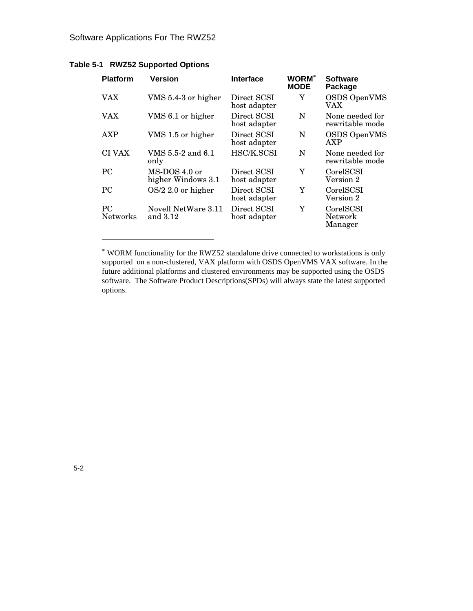| <b>Platform</b>              | <b>Version</b>                        | Interface                   | <b>WORM</b> *<br><b>MODE</b> | <b>Software</b><br>Package         |
|------------------------------|---------------------------------------|-----------------------------|------------------------------|------------------------------------|
| <b>VAX</b>                   | VMS 5.4-3 or higher                   | Direct SCSI<br>host adapter | Y                            | <b>OSDS OpenVMS</b><br>VAX         |
| <b>VAX</b>                   | VMS 6.1 or higher                     | Direct SCSI<br>host adapter | N                            | None needed for<br>rewritable mode |
| AXP                          | VMS 1.5 or higher                     | Direct SCSI<br>host adapter | N                            | <b>OSDS OpenVMS</b><br><b>AXP</b>  |
| <b>CI VAX</b>                | VMS 5.5-2 and 6.1<br>only             | HSC/K.SCSI                  | N                            | None needed for<br>rewritable mode |
| <b>PC</b>                    | $MS-DOS 4.0$ or<br>higher Windows 3.1 | Direct SCSI<br>host adapter | Y                            | CorelSCSI<br>Version 2             |
| <b>PC</b>                    | $OS/2$ 2.0 or higher                  | Direct SCSI<br>host adapter | Y                            | CorelSCSI<br>Version 2             |
| <b>PC</b><br><b>Networks</b> | Novell NetWare 3.11<br>and 3.12       | Direct SCSI<br>host adapter | Y                            | CorelSCSI<br>Network<br>Manager    |

#### **Table 5-1 RWZ52 Supported Options**

-

<sup>\*</sup> WORM functionality for the RWZ52 standalone drive connected to workstations is only supported on a non-clustered, VAX platform with OSDS OpenVMS VAX software. In the future additional platforms and clustered environments may be supported using the OSDS software. The Software Product Descriptions(SPDs) will always state the latest supported options.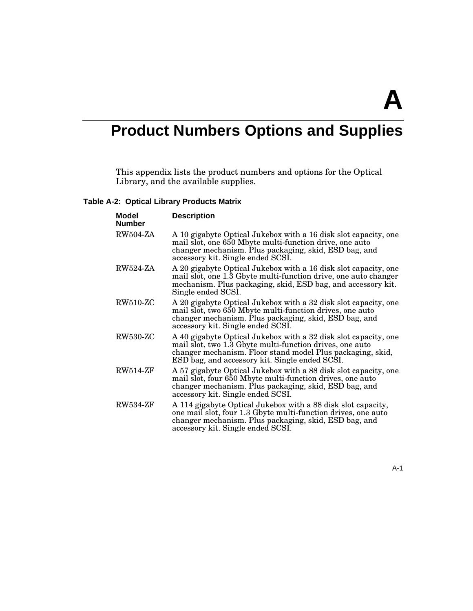# **Product Numbers Options and Supplies**

This appendix lists the product numbers and options for the Optical Library, and the available supplies.

#### **Table A-2: Optical Library Products Matrix**

| Model<br><b>Number</b> | <b>Description</b>                                                                                                                                                                                                                          |
|------------------------|---------------------------------------------------------------------------------------------------------------------------------------------------------------------------------------------------------------------------------------------|
| <b>RW504-ZA</b>        | A 10 gigabyte Optical Jukebox with a 16 disk slot capacity, one<br>mail slot, one 650 Mbyte multi-function drive, one auto<br>changer mechanism. Plus packaging, skid, ESD bag, and<br>accessory kit. Single ended SCSI.                    |
| RW524-ZA               | A 20 gigabyte Optical Jukebox with a 16 disk slot capacity, one<br>mail slot, one 1.3 Gbyte multi-function drive, one auto changer<br>mechanism. Plus packaging, skid, ESD bag, and accessory kit.<br>Single ended SCSI.                    |
| $RW510-ZC$             | A 20 gigabyte Optical Jukebox with a 32 disk slot capacity, one<br>mail slot, two 650 Mbyte multi-function drives, one auto<br>changer mechanism. Plus packaging, skid, ESD bag, and<br>accessory kit. Single ended SCSI.                   |
| <b>RW530-ZC</b>        | A 40 gigabyte Optical Jukebox with a 32 disk slot capacity, one<br>mail slot, two 1.3 Gbyte multi-function drives, one auto<br>changer mechanism. Floor stand model Plus packaging, skid,<br>ESD bag, and accessory kit. Single ended SCSI. |
| <b>RW514-ZF</b>        | A 57 gigabyte Optical Jukebox with a 88 disk slot capacity, one<br>mail slot, four 650 Mbyte multi-function drives, one auto<br>changer mechanism. Plus packaging, skid, ESD bag, and<br>accessory kit. Single ended SCSI.                  |
| <b>RW534-ZF</b>        | A 114 gigabyte Optical Jukebox with a 88 disk slot capacity,<br>one mail slot, four 1.3 Gbyte multi-function drives, one auto<br>changer mechanism. Plus packaging, skid, ESD bag, and<br>accessory kit. Single ended SCSI.                 |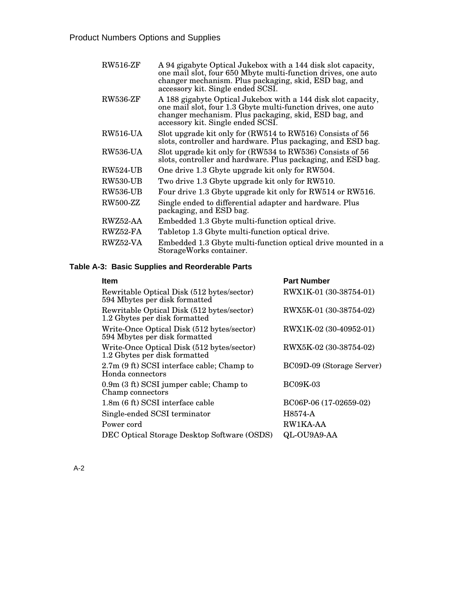| <b>RW516-ZF</b> | A 94 gigabyte Optical Jukebox with a 144 disk slot capacity,<br>one mail slot, four 650 Mbyte multi-function drives, one auto<br>changer mechanism. Plus packaging, skid, ESD bag, and<br>accessory kit. Single ended SCSI.  |
|-----------------|------------------------------------------------------------------------------------------------------------------------------------------------------------------------------------------------------------------------------|
| <b>RW536-ZF</b> | A 188 gigabyte Optical Jukebox with a 144 disk slot capacity,<br>one mail slot, four 1.3 Gbyte multi-function drives, one auto<br>changer mechanism. Plus packaging, skid, ESD bag, and<br>accessory kit. Single ended SCSI. |
| <b>RW516-UA</b> | Slot upgrade kit only for (RW514 to RW516) Consists of 56<br>slots, controller and hardware. Plus packaging, and ESD bag.                                                                                                    |
| <b>RW536-UA</b> | Slot upgrade kit only for (RW534 to RW536) Consists of 56<br>slots, controller and hardware. Plus packaging, and ESD bag.                                                                                                    |
| <b>RW524-UB</b> | One drive 1.3 Gbyte upgrade kit only for RW504.                                                                                                                                                                              |
| <b>RW530-UB</b> | Two drive 1.3 Gbyte upgrade kit only for RW510.                                                                                                                                                                              |
| <b>RW536-UB</b> | Four drive 1.3 Gbyte upgrade kit only for RW514 or RW516.                                                                                                                                                                    |
| <b>RW500-ZZ</b> | Single ended to differential adapter and hardware. Plus<br>packaging, and ESD bag.                                                                                                                                           |
| RWZ52-AA        | Embedded 1.3 Gbyte multi-function optical drive.                                                                                                                                                                             |
| RWZ52-FA        | Tabletop 1.3 Gbyte multi-function optical drive.                                                                                                                                                                             |
| RWZ52-VA        | Embedded 1.3 Gbyte multi-function optical drive mounted in a<br>StorageWorks container.                                                                                                                                      |

#### **Table A-3: Basic Supplies and Reorderable Parts**

| <b>Item</b>                                                                 | <b>Part Number</b>        |
|-----------------------------------------------------------------------------|---------------------------|
| Rewritable Optical Disk (512 bytes/sector)<br>594 Mbytes per disk formatted | RWX1K-01 (30-38754-01)    |
| Rewritable Optical Disk (512 bytes/sector)<br>1.2 Gbytes per disk formatted | RWX5K-01 (30-38754-02)    |
| Write-Once Optical Disk (512 bytes/sector)<br>594 Mbytes per disk formatted | RWX1K-02 (30-40952-01)    |
| Write-Once Optical Disk (512 bytes/sector)<br>1.2 Gbytes per disk formatted | RWX5K-02 (30-38754-02)    |
| 2.7m (9 ft) SCSI interface cable; Champ to<br>Honda connectors              | BC09D-09 (Storage Server) |
| $0.9m$ (3 ft) SCSI jumper cable; Champ to<br>Champ connectors               | <b>BC09K-03</b>           |
| 1.8m (6 ft) SCSI interface cable                                            | BC06P-06 (17-02659-02)    |
| Single-ended SCSI terminator                                                | H8574-A                   |
| Power cord                                                                  | RW1KA-AA                  |
| DEC Optical Storage Desktop Software (OSDS)                                 | QL-OU9A9-AA               |
|                                                                             |                           |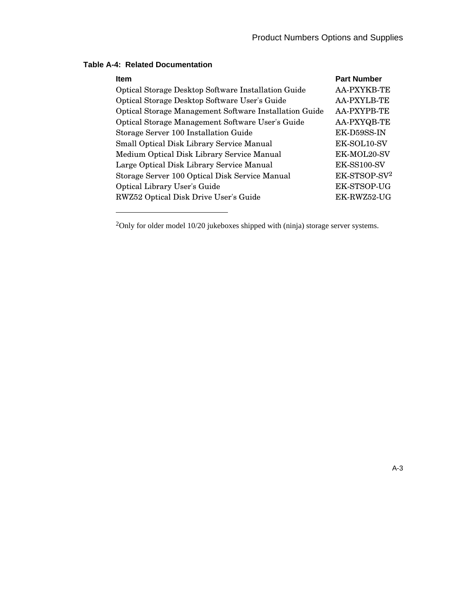| <b>Item</b>                                            | <b>Part Number</b>       |
|--------------------------------------------------------|--------------------------|
| Optical Storage Desktop Software Installation Guide    | <b>AA-PXYKB-TE</b>       |
| Optical Storage Desktop Software User's Guide          | AA-PXYLB-TE              |
| Optical Storage Management Software Installation Guide | AA-PXYPB-TE              |
| Optical Storage Management Software User's Guide       | AA-PXYQB-TE              |
| Storage Server 100 Installation Guide                  | EK-D59SS-IN              |
| Small Optical Disk Library Service Manual              | EK-SOL10-SV              |
| Medium Optical Disk Library Service Manual             | EK-MOL20-SV              |
| Large Optical Disk Library Service Manual              | EK-SS100-SV              |
| Storage Server 100 Optical Disk Service Manual         | EK-STSOP-SV <sup>2</sup> |
| <b>Optical Library User's Guide</b>                    | EK-STSOP-UG              |
| RWZ52 Optical Disk Drive User's Guide                  | EK-RWZ52-UG              |
|                                                        |                          |

#### **Table A-4: Related Documentation**

-

<sup>2</sup>Only for older model 10/20 jukeboxes shipped with (ninja) storage server systems.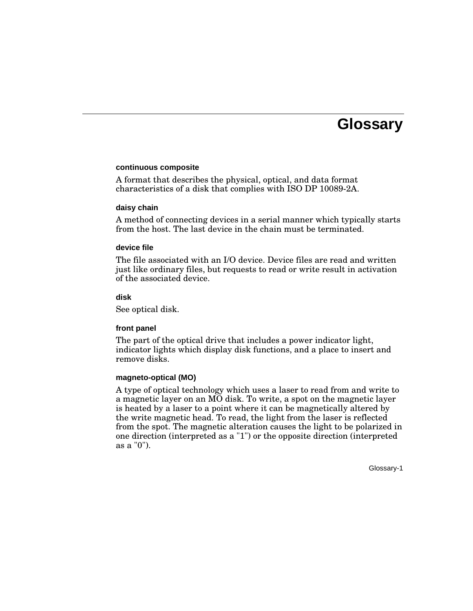## **Glossary**

#### **continuous composite**

A format that describes the physical, optical, and data format characteristics of a disk that complies with ISO DP 10089-2A.

#### **daisy chain**

A method of connecting devices in a serial manner which typically starts from the host. The last device in the chain must be terminated.

#### **device file**

The file associated with an I/O device. Device files are read and written just like ordinary files, but requests to read or write result in activation of the associated device.

#### **disk**

See optical disk.

#### **front panel**

The part of the optical drive that includes a power indicator light, indicator lights which display disk functions, and a place to insert and remove disks.

#### **magneto-optical (MO)**

A type of optical technology which uses a laser to read from and write to a magnetic layer on an MO disk. To write, a spot on the magnetic layer is heated by a laser to a point where it can be magnetically altered by the write magnetic head. To read, the light from the laser is reflected from the spot. The magnetic alteration causes the light to be polarized in one direction (interpreted as a "1") or the opposite direction (interpreted as a "0").

Glossary-1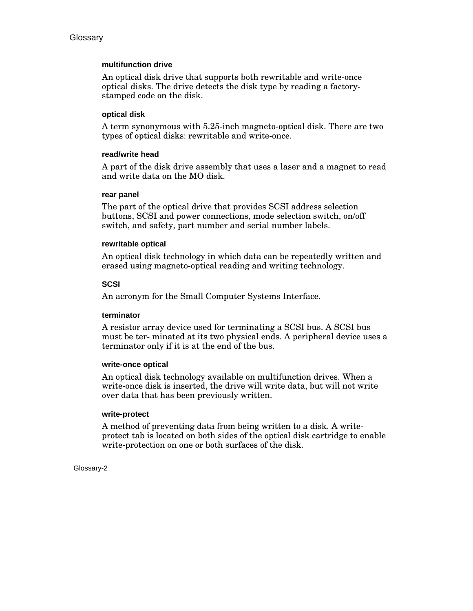#### **multifunction drive**

An optical disk drive that supports both rewritable and write-once optical disks. The drive detects the disk type by reading a factorystamped code on the disk.

#### **optical disk**

A term synonymous with 5.25-inch magneto-optical disk. There are two types of optical disks: rewritable and write-once.

#### **read/write head**

A part of the disk drive assembly that uses a laser and a magnet to read and write data on the MO disk.

#### **rear panel**

The part of the optical drive that provides SCSI address selection buttons, SCSI and power connections, mode selection switch, on/off switch, and safety, part number and serial number labels.

#### **rewritable optical**

An optical disk technology in which data can be repeatedly written and erased using magneto-optical reading and writing technology.

#### **SCSI**

An acronym for the Small Computer Systems Interface.

#### **terminator**

A resistor array device used for terminating a SCSI bus. A SCSI bus must be ter- minated at its two physical ends. A peripheral device uses a terminator only if it is at the end of the bus.

#### **write-once optical**

An optical disk technology available on multifunction drives. When a write-once disk is inserted, the drive will write data, but will not write over data that has been previously written.

#### **write-protect**

A method of preventing data from being written to a disk. A writeprotect tab is located on both sides of the optical disk cartridge to enable write-protection on one or both surfaces of the disk.

Glossary-2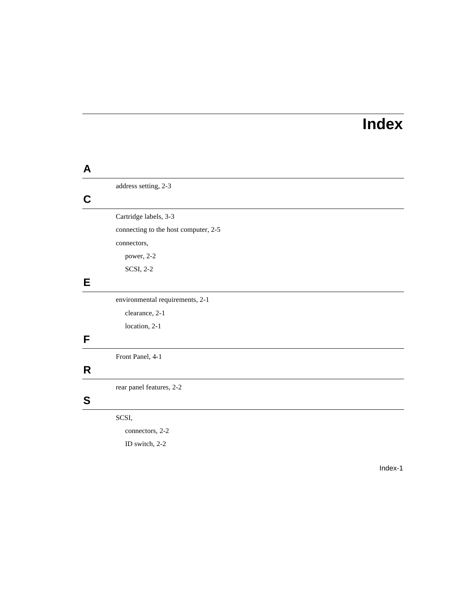# **Index**

### **A** address setting, 2-3 **C** Cartridge labels, 3-3 connecting to the host computer, 2-5 connectors, power, 2-2 SCSI, 2-2 **E** environmental requirements, 2-1 clearance, 2-1 location, 2-1 **F** Front Panel, 4-1 **R** rear panel features, 2-2 **S** SCSI, connectors, 2-2

ID switch, 2-2

Index-1